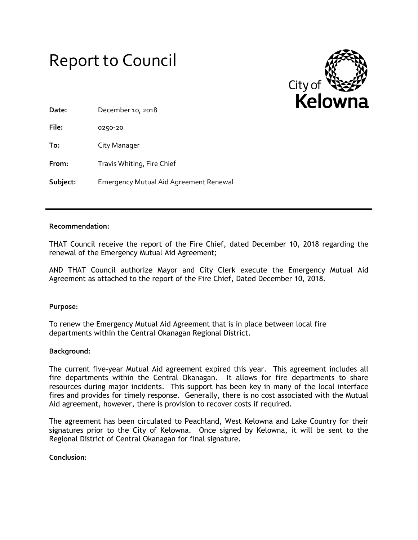



| Date:    | December 10, 2018                             |
|----------|-----------------------------------------------|
| File:    | 0250-20                                       |
| To:      | City Manager                                  |
| From:    | Travis Whiting, Fire Chief                    |
| Subject: | <b>Emergency Mutual Aid Agreement Renewal</b> |

## **Recommendation:**

THAT Council receive the report of the Fire Chief, dated December 10, 2018 regarding the renewal of the Emergency Mutual Aid Agreement;

AND THAT Council authorize Mayor and City Clerk execute the Emergency Mutual Aid Agreement as attached to the report of the Fire Chief, Dated December 10, 2018.

**Purpose:** 

To renew the Emergency Mutual Aid Agreement that is in place between local fire departments within the Central Okanagan Regional District.

## **Background:**

The current five-year Mutual Aid agreement expired this year. This agreement includes all fire departments within the Central Okanagan. It allows for fire departments to share resources during major incidents. This support has been key in many of the local interface fires and provides for timely response. Generally, there is no cost associated with the Mutual Aid agreement, however, there is provision to recover costs if required.

The agreement has been circulated to Peachland, West Kelowna and Lake Country for their signatures prior to the City of Kelowna. Once signed by Kelowna, it will be sent to the Regional District of Central Okanagan for final signature.

**Conclusion:**